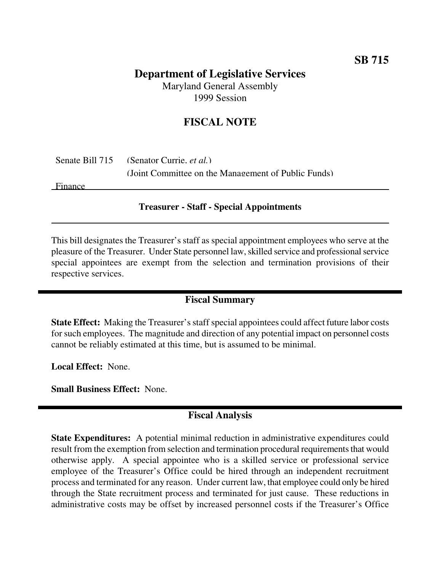# **Department of Legislative Services**

Maryland General Assembly 1999 Session

## **FISCAL NOTE**

|         | Senate Bill 715 (Senator Currie, <i>et al.</i> )    |
|---------|-----------------------------------------------------|
|         | (Joint Committee on the Management of Public Funds) |
| Einonea |                                                     |

Finance

#### **Treasurer - Staff - Special Appointments**

This bill designates the Treasurer's staff as special appointment employees who serve at the pleasure of the Treasurer. Under State personnel law,skilled service and professionalservice special appointees are exempt from the selection and termination provisions of their respective services.

## **Fiscal Summary**

**State Effect:** Making the Treasurer's staff special appointees could affect future labor costs for such employees. The magnitude and direction of any potential impact on personnel costs cannot be reliably estimated at this time, but is assumed to be minimal.

**Local Effect:** None.

**Small Business Effect:** None.

### **Fiscal Analysis**

**State Expenditures:** A potential minimal reduction in administrative expenditures could result from the exemption from selection and termination procedural requirements that would otherwise apply. A special appointee who is a skilled service or professional service employee of the Treasurer's Office could be hired through an independent recruitment process and terminated for any reason. Under current law, that employee could only be hired through the State recruitment process and terminated for just cause. These reductions in administrative costs may be offset by increased personnel costs if the Treasurer's Office